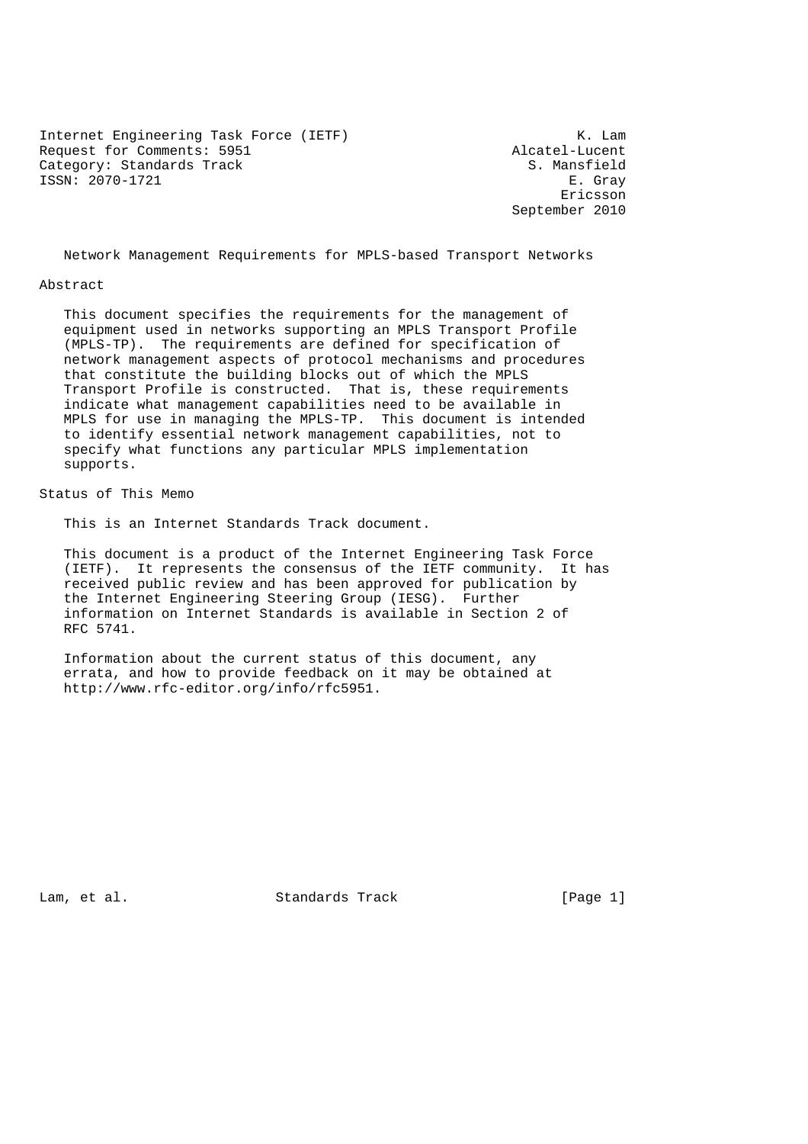Internet Engineering Task Force (IETF) K. Lam<br>Request for Comments: 5951 Alcatel-Lucent Request for Comments: 5951 <br>Category: Standards Track and Sample of the S. Mansfield Category: Standards Track ISSN: 2070-1721 E. Gray

eric and the contract of the contract of the contract of the contract of the contract of the contract of the contract of the contract of the contract of the contract of the contract of the contract of the contract of the c September 2010

Network Management Requirements for MPLS-based Transport Networks

#### Abstract

 This document specifies the requirements for the management of equipment used in networks supporting an MPLS Transport Profile (MPLS-TP). The requirements are defined for specification of network management aspects of protocol mechanisms and procedures that constitute the building blocks out of which the MPLS Transport Profile is constructed. That is, these requirements indicate what management capabilities need to be available in MPLS for use in managing the MPLS-TP. This document is intended to identify essential network management capabilities, not to specify what functions any particular MPLS implementation supports.

Status of This Memo

This is an Internet Standards Track document.

 This document is a product of the Internet Engineering Task Force (IETF). It represents the consensus of the IETF community. It has received public review and has been approved for publication by the Internet Engineering Steering Group (IESG). Further information on Internet Standards is available in Section 2 of RFC 5741.

 Information about the current status of this document, any errata, and how to provide feedback on it may be obtained at http://www.rfc-editor.org/info/rfc5951.

Lam, et al. Standards Track [Page 1]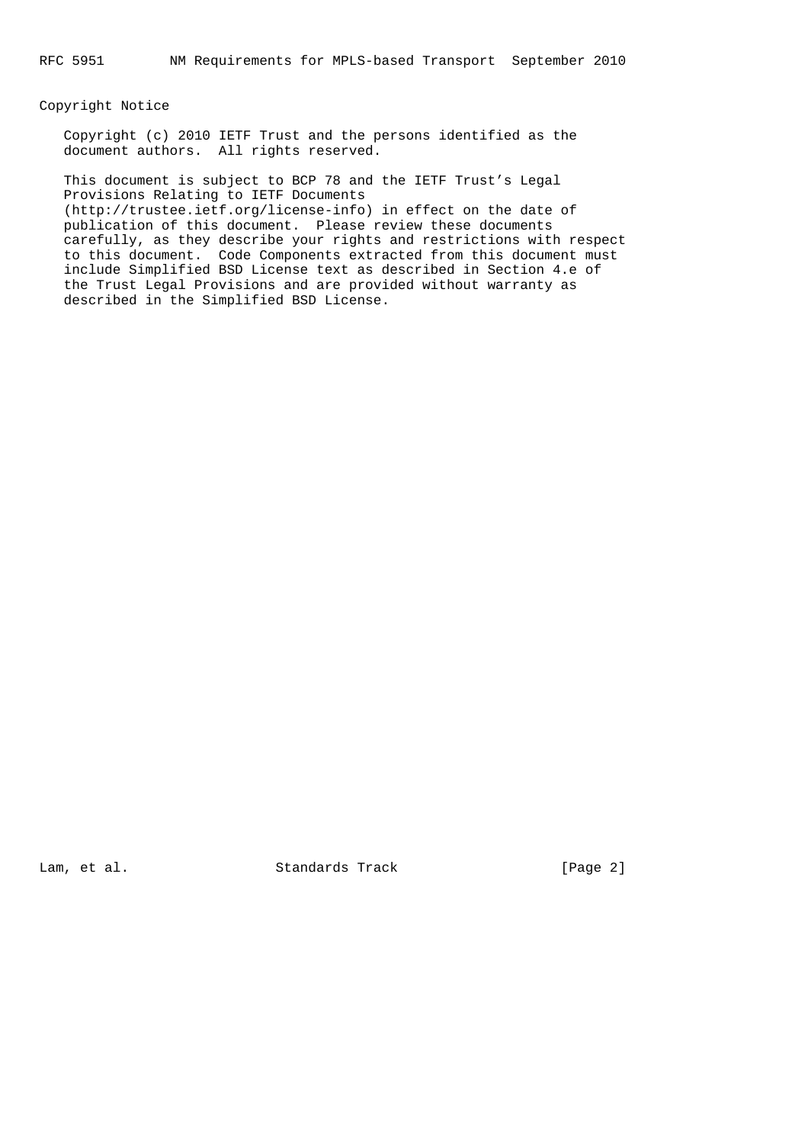#### Copyright Notice

 Copyright (c) 2010 IETF Trust and the persons identified as the document authors. All rights reserved.

 This document is subject to BCP 78 and the IETF Trust's Legal Provisions Relating to IETF Documents (http://trustee.ietf.org/license-info) in effect on the date of publication of this document. Please review these documents carefully, as they describe your rights and restrictions with respect to this document. Code Components extracted from this document must include Simplified BSD License text as described in Section 4.e of the Trust Legal Provisions and are provided without warranty as described in the Simplified BSD License.

Lam, et al. Standards Track [Page 2]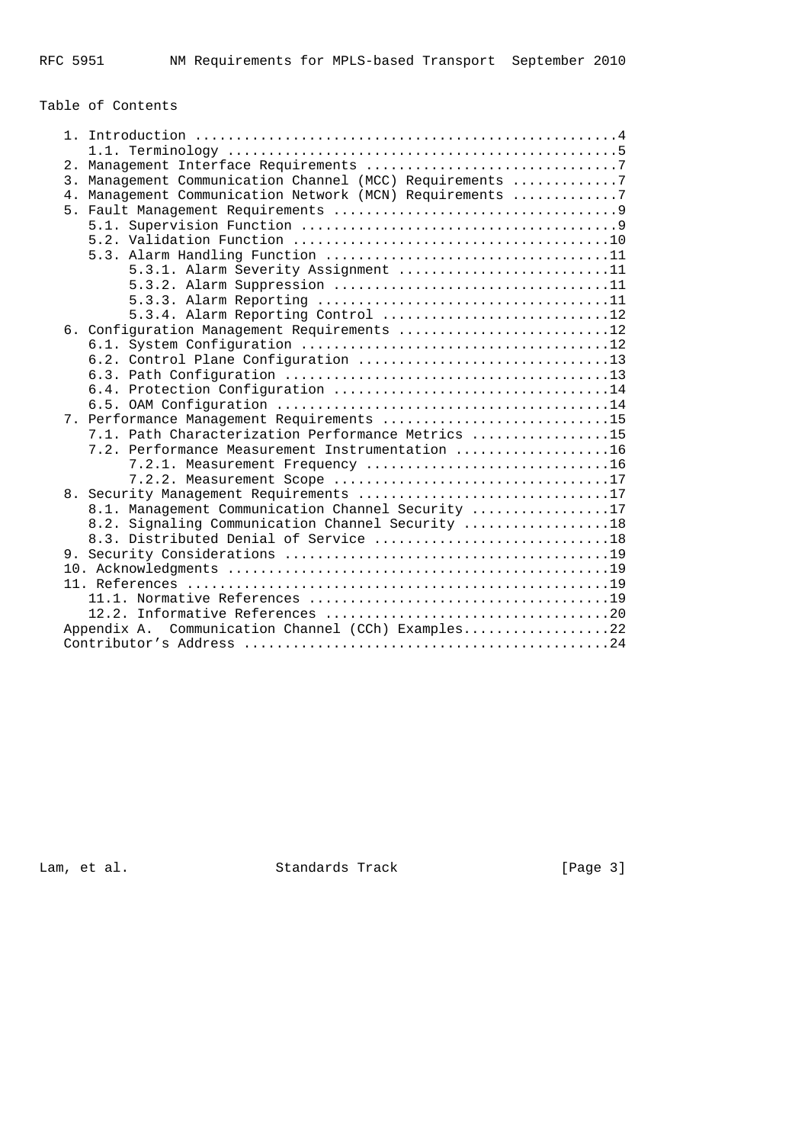# Table of Contents

| 3. Management Communication Channel (MCC) Requirements 7 |  |
|----------------------------------------------------------|--|
| 4. Management Communication Network (MCN) Requirements 7 |  |
|                                                          |  |
|                                                          |  |
|                                                          |  |
|                                                          |  |
| 5.3.1. Alarm Severity Assignment 11                      |  |
|                                                          |  |
|                                                          |  |
| 5.3.4. Alarm Reporting Control 12                        |  |
| 6. Configuration Management Requirements 12              |  |
|                                                          |  |
|                                                          |  |
|                                                          |  |
|                                                          |  |
|                                                          |  |
| 7. Performance Management Requirements 15                |  |
| 7.1. Path Characterization Performance Metrics 15        |  |
| 7.2. Performance Measurement Instrumentation 16          |  |
| 7.2.1. Measurement Frequency 16                          |  |
| 7.2.2. Measurement Scope 17                              |  |
| 8. Security Management Requirements 17                   |  |
| 8.1. Management Communication Channel Security 17        |  |
| 8.2. Signaling Communication Channel Security 18         |  |
| 8.3. Distributed Denial of Service 18                    |  |
|                                                          |  |
|                                                          |  |
|                                                          |  |
|                                                          |  |
|                                                          |  |
| Appendix A. Communication Channel (CCh) Examples22       |  |
|                                                          |  |

Lam, et al. Standards Track [Page 3]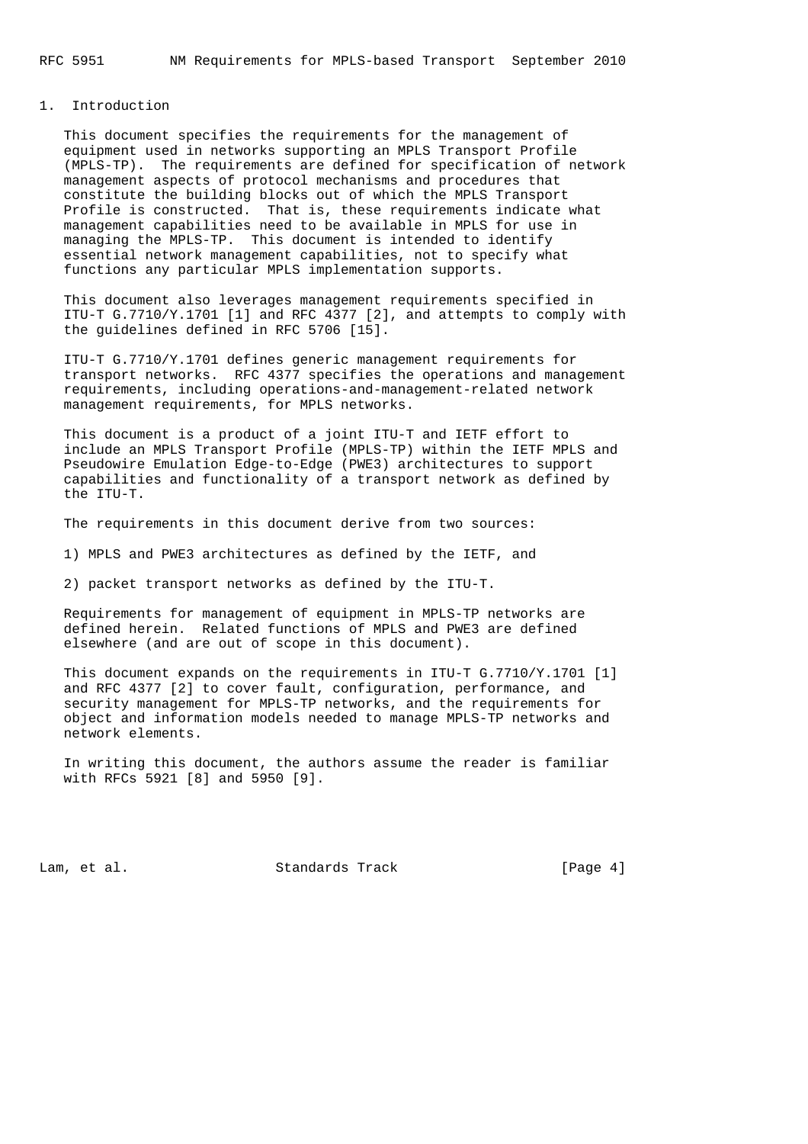## 1. Introduction

 This document specifies the requirements for the management of equipment used in networks supporting an MPLS Transport Profile (MPLS-TP). The requirements are defined for specification of network management aspects of protocol mechanisms and procedures that constitute the building blocks out of which the MPLS Transport Profile is constructed. That is, these requirements indicate what management capabilities need to be available in MPLS for use in managing the MPLS-TP. This document is intended to identify essential network management capabilities, not to specify what functions any particular MPLS implementation supports.

 This document also leverages management requirements specified in ITU-T G.7710/Y.1701 [1] and RFC 4377 [2], and attempts to comply with the guidelines defined in RFC 5706 [15].

 ITU-T G.7710/Y.1701 defines generic management requirements for transport networks. RFC 4377 specifies the operations and management requirements, including operations-and-management-related network management requirements, for MPLS networks.

 This document is a product of a joint ITU-T and IETF effort to include an MPLS Transport Profile (MPLS-TP) within the IETF MPLS and Pseudowire Emulation Edge-to-Edge (PWE3) architectures to support capabilities and functionality of a transport network as defined by the ITU-T.

The requirements in this document derive from two sources:

1) MPLS and PWE3 architectures as defined by the IETF, and

2) packet transport networks as defined by the ITU-T.

 Requirements for management of equipment in MPLS-TP networks are defined herein. Related functions of MPLS and PWE3 are defined elsewhere (and are out of scope in this document).

 This document expands on the requirements in ITU-T G.7710/Y.1701 [1] and RFC 4377 [2] to cover fault, configuration, performance, and security management for MPLS-TP networks, and the requirements for object and information models needed to manage MPLS-TP networks and network elements.

 In writing this document, the authors assume the reader is familiar with RFCs 5921 [8] and 5950 [9].

Lam, et al. Standards Track [Page 4]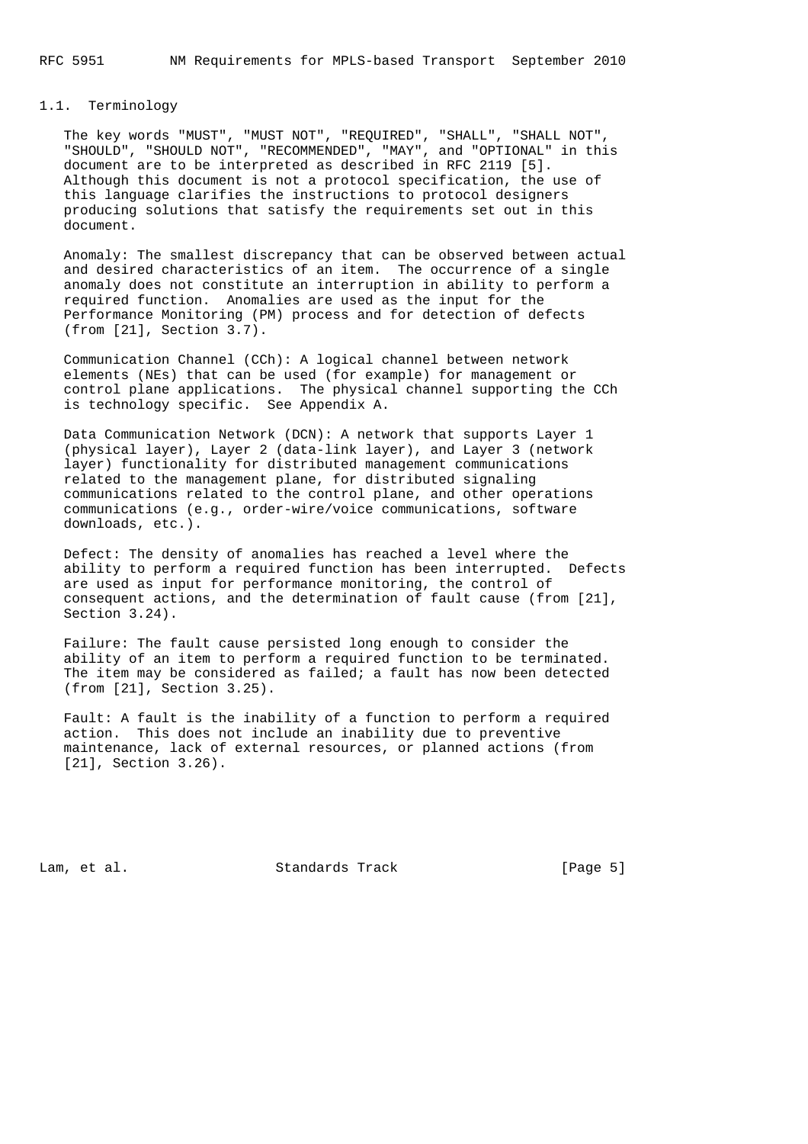## 1.1. Terminology

 The key words "MUST", "MUST NOT", "REQUIRED", "SHALL", "SHALL NOT", "SHOULD", "SHOULD NOT", "RECOMMENDED", "MAY", and "OPTIONAL" in this document are to be interpreted as described in RFC 2119 [5]. Although this document is not a protocol specification, the use of this language clarifies the instructions to protocol designers producing solutions that satisfy the requirements set out in this document.

 Anomaly: The smallest discrepancy that can be observed between actual and desired characteristics of an item. The occurrence of a single anomaly does not constitute an interruption in ability to perform a required function. Anomalies are used as the input for the Performance Monitoring (PM) process and for detection of defects (from [21], Section 3.7).

 Communication Channel (CCh): A logical channel between network elements (NEs) that can be used (for example) for management or control plane applications. The physical channel supporting the CCh is technology specific. See Appendix A.

 Data Communication Network (DCN): A network that supports Layer 1 (physical layer), Layer 2 (data-link layer), and Layer 3 (network layer) functionality for distributed management communications related to the management plane, for distributed signaling communications related to the control plane, and other operations communications (e.g., order-wire/voice communications, software downloads, etc.).

 Defect: The density of anomalies has reached a level where the ability to perform a required function has been interrupted. Defects are used as input for performance monitoring, the control of consequent actions, and the determination of fault cause (from [21], Section 3.24).

 Failure: The fault cause persisted long enough to consider the ability of an item to perform a required function to be terminated. The item may be considered as failed; a fault has now been detected (from [21], Section 3.25).

 Fault: A fault is the inability of a function to perform a required action. This does not include an inability due to preventive maintenance, lack of external resources, or planned actions (from [21], Section 3.26).

Lam, et al. Standards Track [Page 5]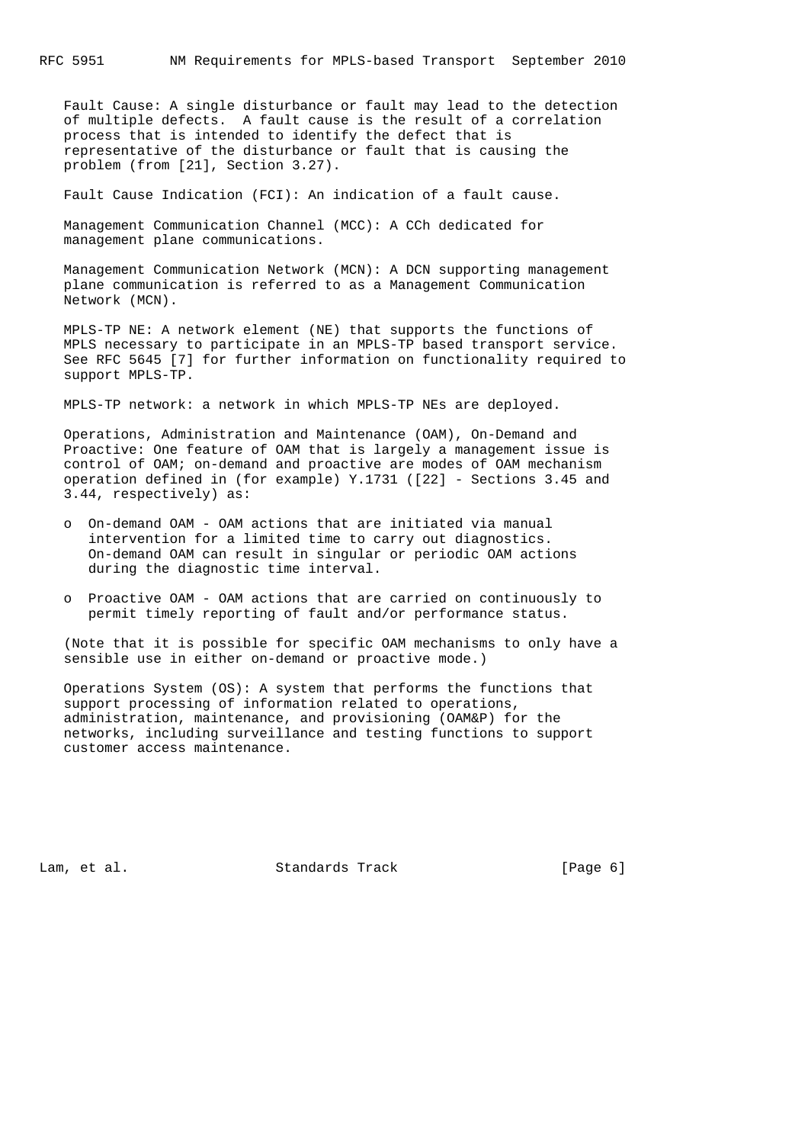Fault Cause: A single disturbance or fault may lead to the detection of multiple defects. A fault cause is the result of a correlation process that is intended to identify the defect that is representative of the disturbance or fault that is causing the problem (from [21], Section 3.27).

Fault Cause Indication (FCI): An indication of a fault cause.

 Management Communication Channel (MCC): A CCh dedicated for management plane communications.

 Management Communication Network (MCN): A DCN supporting management plane communication is referred to as a Management Communication Network (MCN).

 MPLS-TP NE: A network element (NE) that supports the functions of MPLS necessary to participate in an MPLS-TP based transport service. See RFC 5645 [7] for further information on functionality required to support MPLS-TP.

MPLS-TP network: a network in which MPLS-TP NEs are deployed.

 Operations, Administration and Maintenance (OAM), On-Demand and Proactive: One feature of OAM that is largely a management issue is control of OAM; on-demand and proactive are modes of OAM mechanism operation defined in (for example) Y.1731 ([22] - Sections 3.45 and 3.44, respectively) as:

- o On-demand OAM OAM actions that are initiated via manual intervention for a limited time to carry out diagnostics. On-demand OAM can result in singular or periodic OAM actions during the diagnostic time interval.
- o Proactive OAM OAM actions that are carried on continuously to permit timely reporting of fault and/or performance status.

 (Note that it is possible for specific OAM mechanisms to only have a sensible use in either on-demand or proactive mode.)

 Operations System (OS): A system that performs the functions that support processing of information related to operations, administration, maintenance, and provisioning (OAM&P) for the networks, including surveillance and testing functions to support customer access maintenance.

Lam, et al. Standards Track [Page 6]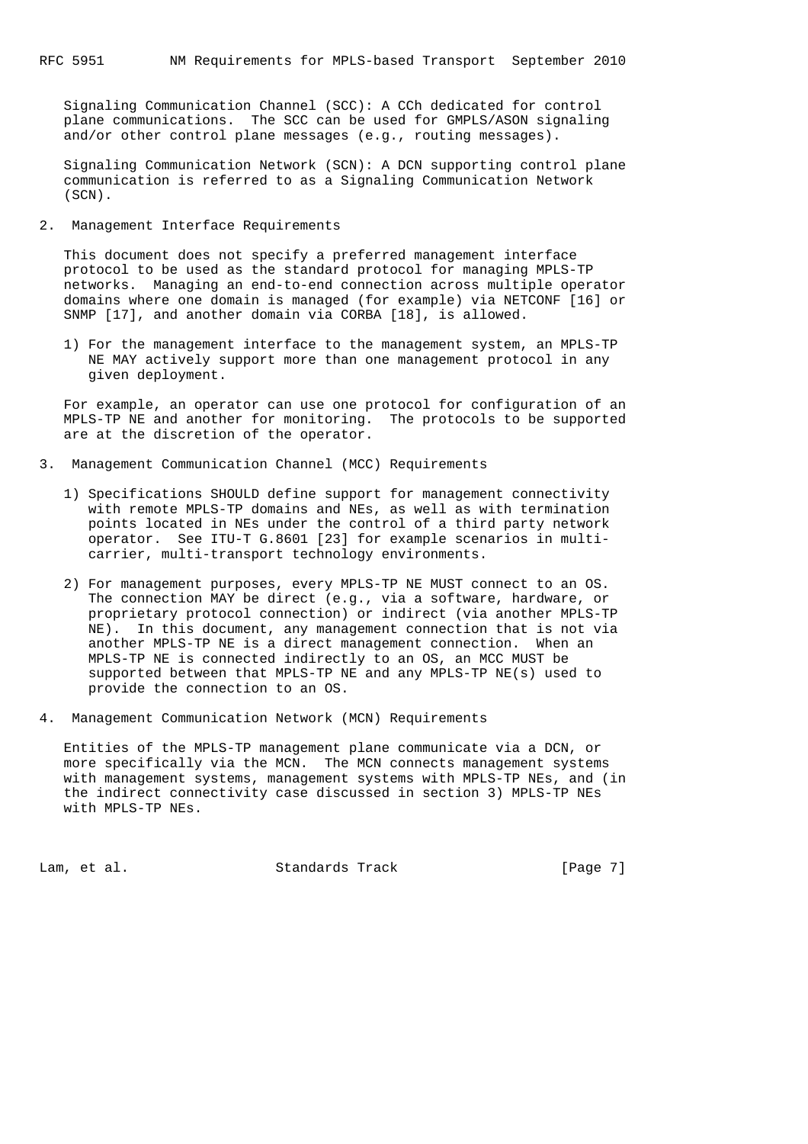Signaling Communication Channel (SCC): A CCh dedicated for control plane communications. The SCC can be used for GMPLS/ASON signaling and/or other control plane messages (e.g., routing messages).

 Signaling Communication Network (SCN): A DCN supporting control plane communication is referred to as a Signaling Communication Network (SCN).

2. Management Interface Requirements

 This document does not specify a preferred management interface protocol to be used as the standard protocol for managing MPLS-TP networks. Managing an end-to-end connection across multiple operator domains where one domain is managed (for example) via NETCONF [16] or SNMP [17], and another domain via CORBA [18], is allowed.

 1) For the management interface to the management system, an MPLS-TP NE MAY actively support more than one management protocol in any given deployment.

 For example, an operator can use one protocol for configuration of an MPLS-TP NE and another for monitoring. The protocols to be supported are at the discretion of the operator.

- 3. Management Communication Channel (MCC) Requirements
	- 1) Specifications SHOULD define support for management connectivity with remote MPLS-TP domains and NEs, as well as with termination points located in NEs under the control of a third party network operator. See ITU-T G.8601 [23] for example scenarios in multi carrier, multi-transport technology environments.
	- 2) For management purposes, every MPLS-TP NE MUST connect to an OS. The connection MAY be direct (e.g., via a software, hardware, or proprietary protocol connection) or indirect (via another MPLS-TP NE). In this document, any management connection that is not via another MPLS-TP NE is a direct management connection. When an MPLS-TP NE is connected indirectly to an OS, an MCC MUST be supported between that MPLS-TP NE and any MPLS-TP NE(s) used to provide the connection to an OS.
- 4. Management Communication Network (MCN) Requirements

 Entities of the MPLS-TP management plane communicate via a DCN, or more specifically via the MCN. The MCN connects management systems with management systems, management systems with MPLS-TP NEs, and (in the indirect connectivity case discussed in section 3) MPLS-TP NEs with MPLS-TP NEs.

Lam, et al. Standards Track [Page 7]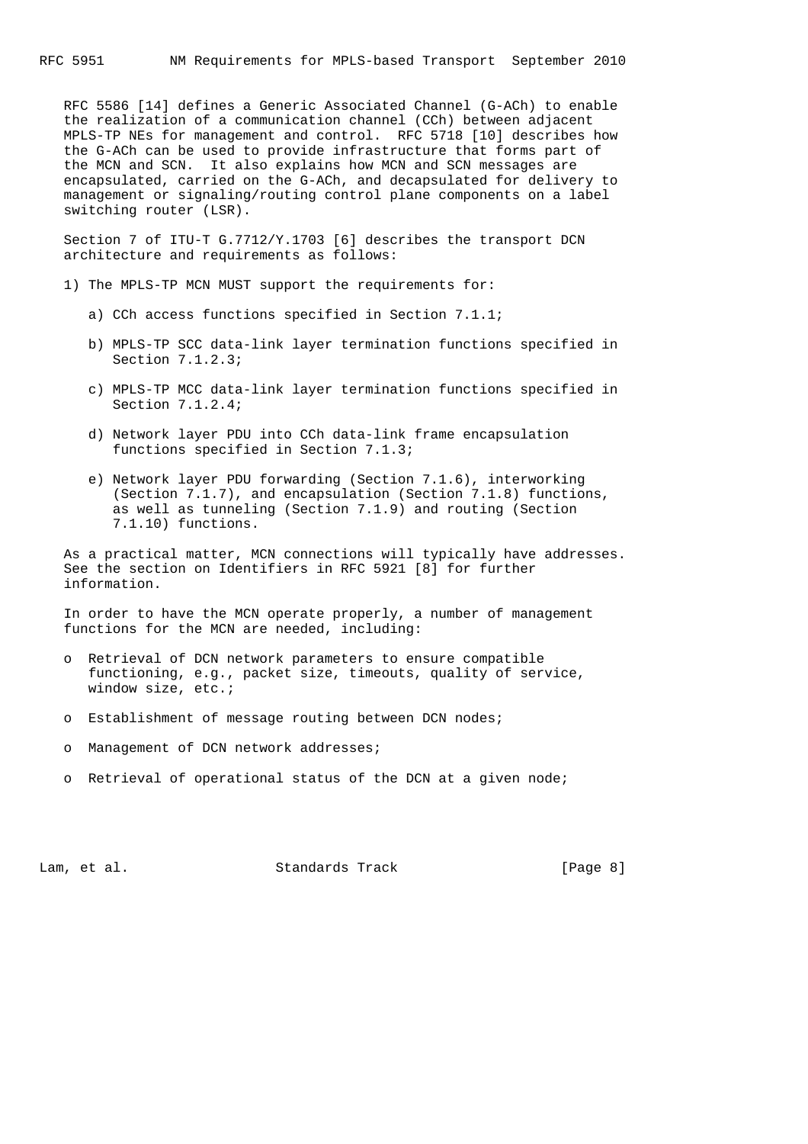RFC 5586 [14] defines a Generic Associated Channel (G-ACh) to enable the realization of a communication channel (CCh) between adjacent MPLS-TP NEs for management and control. RFC 5718 [10] describes how the G-ACh can be used to provide infrastructure that forms part of the MCN and SCN. It also explains how MCN and SCN messages are encapsulated, carried on the G-ACh, and decapsulated for delivery to management or signaling/routing control plane components on a label switching router (LSR).

 Section 7 of ITU-T G.7712/Y.1703 [6] describes the transport DCN architecture and requirements as follows:

- 1) The MPLS-TP MCN MUST support the requirements for:
	- a) CCh access functions specified in Section 7.1.1;
	- b) MPLS-TP SCC data-link layer termination functions specified in Section 7.1.2.3;
	- c) MPLS-TP MCC data-link layer termination functions specified in Section 7.1.2.4;
	- d) Network layer PDU into CCh data-link frame encapsulation functions specified in Section 7.1.3;
	- e) Network layer PDU forwarding (Section 7.1.6), interworking (Section 7.1.7), and encapsulation (Section 7.1.8) functions, as well as tunneling (Section 7.1.9) and routing (Section 7.1.10) functions.

 As a practical matter, MCN connections will typically have addresses. See the section on Identifiers in RFC 5921 [8] for further information.

 In order to have the MCN operate properly, a number of management functions for the MCN are needed, including:

- o Retrieval of DCN network parameters to ensure compatible functioning, e.g., packet size, timeouts, quality of service, window size, etc.;
- o Establishment of message routing between DCN nodes;
- o Management of DCN network addresses;
- o Retrieval of operational status of the DCN at a given node;

Lam, et al. Standards Track [Page 8]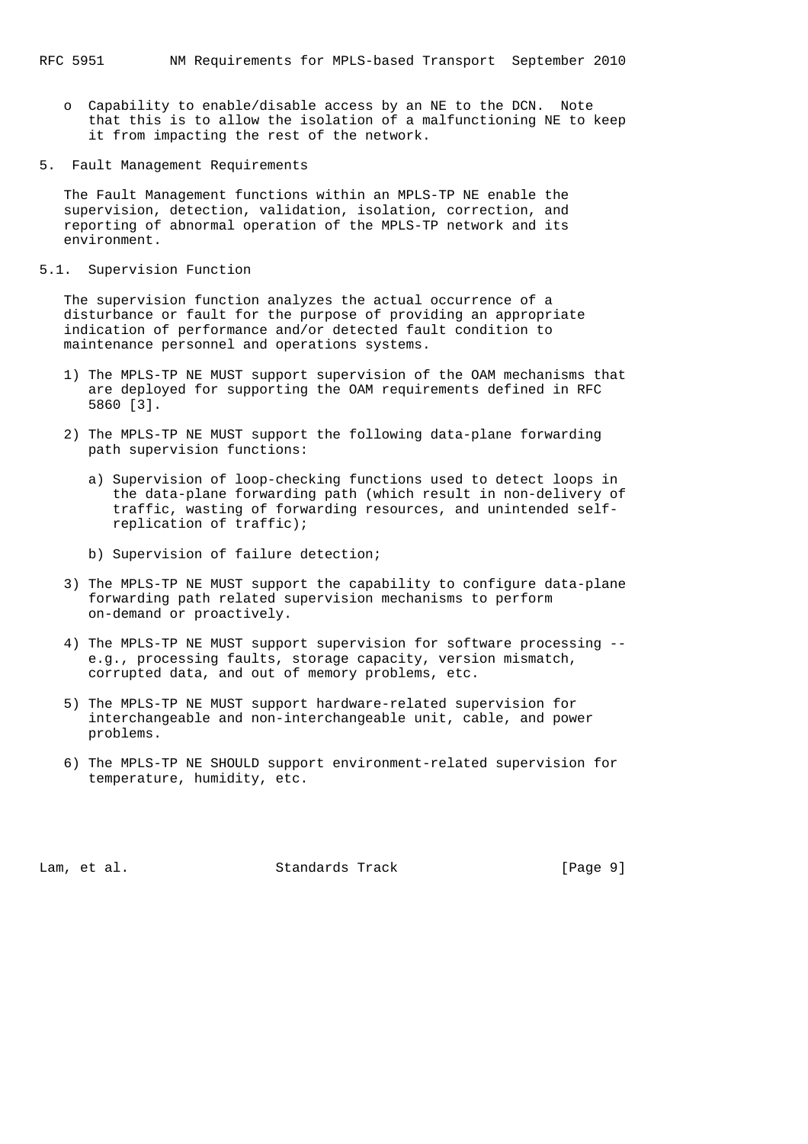- o Capability to enable/disable access by an NE to the DCN. Note that this is to allow the isolation of a malfunctioning NE to keep it from impacting the rest of the network.
- 5. Fault Management Requirements

 The Fault Management functions within an MPLS-TP NE enable the supervision, detection, validation, isolation, correction, and reporting of abnormal operation of the MPLS-TP network and its environment.

5.1. Supervision Function

 The supervision function analyzes the actual occurrence of a disturbance or fault for the purpose of providing an appropriate indication of performance and/or detected fault condition to maintenance personnel and operations systems.

- 1) The MPLS-TP NE MUST support supervision of the OAM mechanisms that are deployed for supporting the OAM requirements defined in RFC 5860 [3].
- 2) The MPLS-TP NE MUST support the following data-plane forwarding path supervision functions:
	- a) Supervision of loop-checking functions used to detect loops in the data-plane forwarding path (which result in non-delivery of traffic, wasting of forwarding resources, and unintended self replication of traffic);
	- b) Supervision of failure detection;
- 3) The MPLS-TP NE MUST support the capability to configure data-plane forwarding path related supervision mechanisms to perform on-demand or proactively.
- 4) The MPLS-TP NE MUST support supervision for software processing e.g., processing faults, storage capacity, version mismatch, corrupted data, and out of memory problems, etc.
- 5) The MPLS-TP NE MUST support hardware-related supervision for interchangeable and non-interchangeable unit, cable, and power problems.
- 6) The MPLS-TP NE SHOULD support environment-related supervision for temperature, humidity, etc.

Lam, et al. Standards Track [Page 9]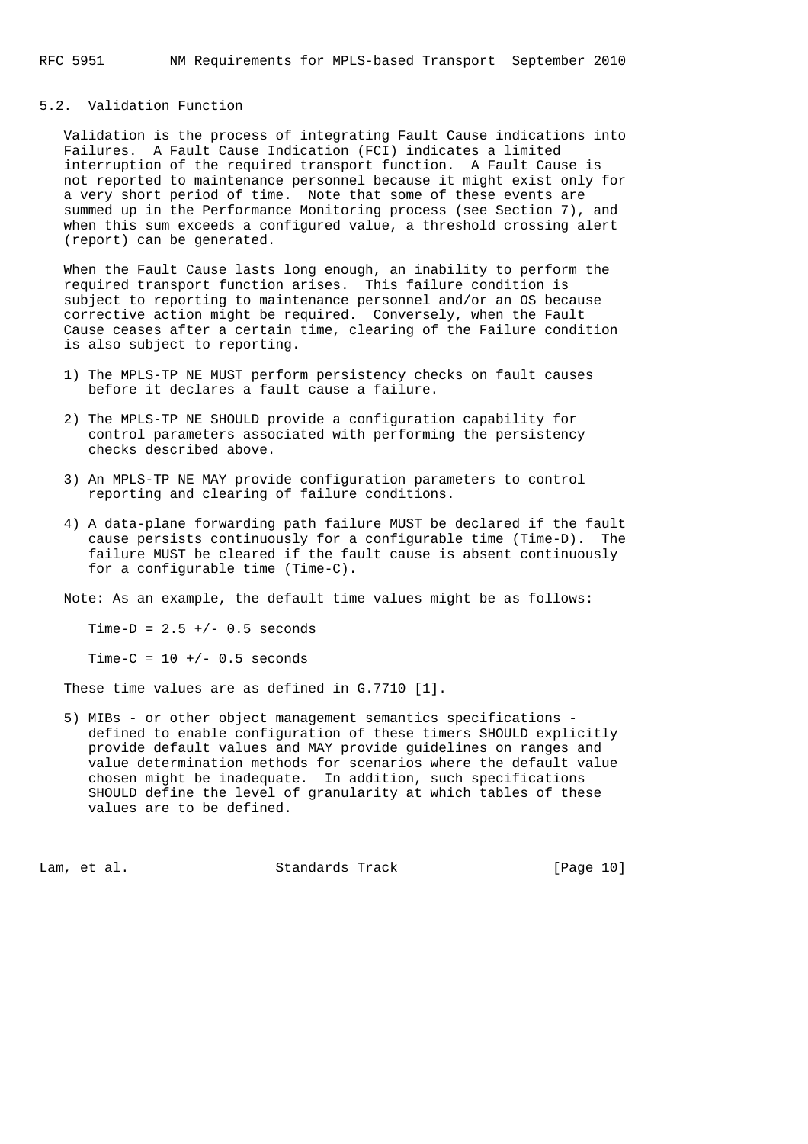## 5.2. Validation Function

 Validation is the process of integrating Fault Cause indications into Failures. A Fault Cause Indication (FCI) indicates a limited interruption of the required transport function. A Fault Cause is not reported to maintenance personnel because it might exist only for a very short period of time. Note that some of these events are summed up in the Performance Monitoring process (see Section 7), and when this sum exceeds a configured value, a threshold crossing alert (report) can be generated.

 When the Fault Cause lasts long enough, an inability to perform the required transport function arises. This failure condition is subject to reporting to maintenance personnel and/or an OS because corrective action might be required. Conversely, when the Fault Cause ceases after a certain time, clearing of the Failure condition is also subject to reporting.

- 1) The MPLS-TP NE MUST perform persistency checks on fault causes before it declares a fault cause a failure.
- 2) The MPLS-TP NE SHOULD provide a configuration capability for control parameters associated with performing the persistency checks described above.
- 3) An MPLS-TP NE MAY provide configuration parameters to control reporting and clearing of failure conditions.
- 4) A data-plane forwarding path failure MUST be declared if the fault cause persists continuously for a configurable time (Time-D). The failure MUST be cleared if the fault cause is absent continuously for a configurable time (Time-C).

Note: As an example, the default time values might be as follows:

Time-D =  $2.5 +/- 0.5$  seconds

Time-C =  $10 +/- 0.5$  seconds

These time values are as defined in G.7710 [1].

 5) MIBs - or other object management semantics specifications defined to enable configuration of these timers SHOULD explicitly provide default values and MAY provide guidelines on ranges and value determination methods for scenarios where the default value chosen might be inadequate. In addition, such specifications SHOULD define the level of granularity at which tables of these values are to be defined.

Lam, et al. Standards Track [Page 10]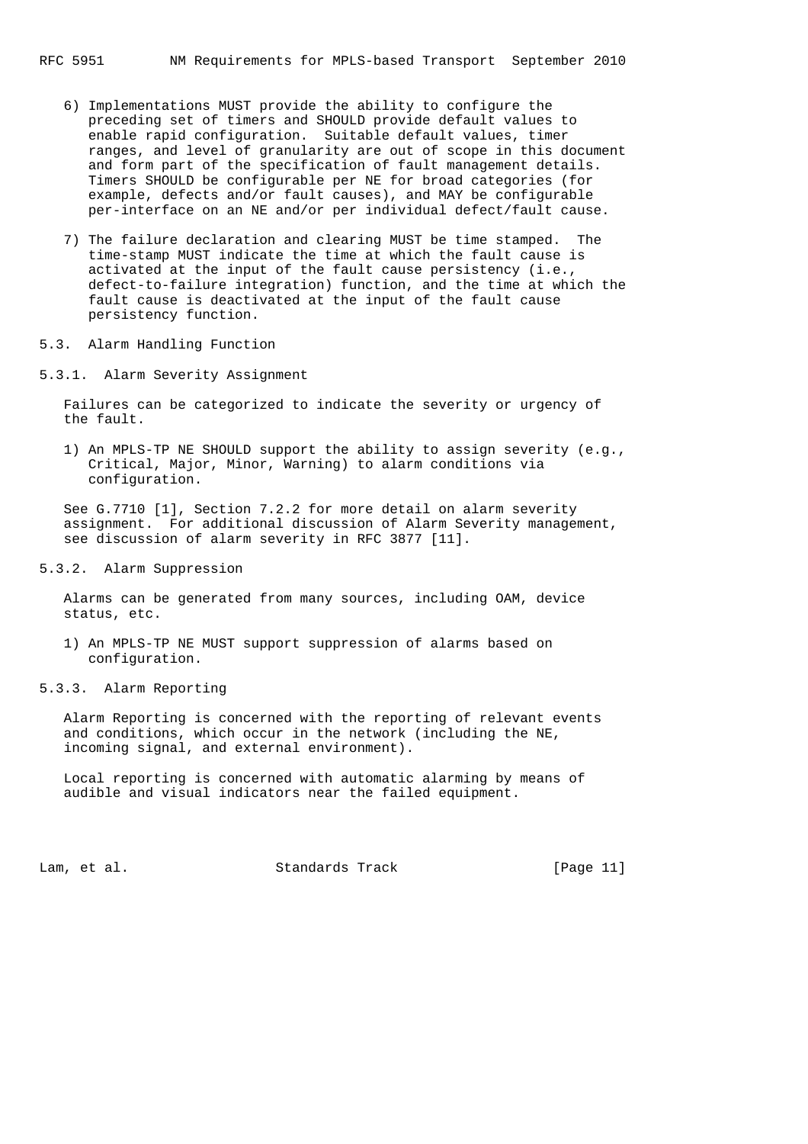- 6) Implementations MUST provide the ability to configure the preceding set of timers and SHOULD provide default values to enable rapid configuration. Suitable default values, timer ranges, and level of granularity are out of scope in this document and form part of the specification of fault management details. Timers SHOULD be configurable per NE for broad categories (for example, defects and/or fault causes), and MAY be configurable per-interface on an NE and/or per individual defect/fault cause.
- 7) The failure declaration and clearing MUST be time stamped. The time-stamp MUST indicate the time at which the fault cause is activated at the input of the fault cause persistency (i.e., defect-to-failure integration) function, and the time at which the fault cause is deactivated at the input of the fault cause persistency function.
- 5.3. Alarm Handling Function
- 5.3.1. Alarm Severity Assignment

 Failures can be categorized to indicate the severity or urgency of the fault.

 1) An MPLS-TP NE SHOULD support the ability to assign severity (e.g., Critical, Major, Minor, Warning) to alarm conditions via configuration.

 See G.7710 [1], Section 7.2.2 for more detail on alarm severity assignment. For additional discussion of Alarm Severity management, see discussion of alarm severity in RFC 3877 [11].

5.3.2. Alarm Suppression

 Alarms can be generated from many sources, including OAM, device status, etc.

- 1) An MPLS-TP NE MUST support suppression of alarms based on configuration.
- 5.3.3. Alarm Reporting

 Alarm Reporting is concerned with the reporting of relevant events and conditions, which occur in the network (including the NE, incoming signal, and external environment).

 Local reporting is concerned with automatic alarming by means of audible and visual indicators near the failed equipment.

Lam, et al. Standards Track [Page 11]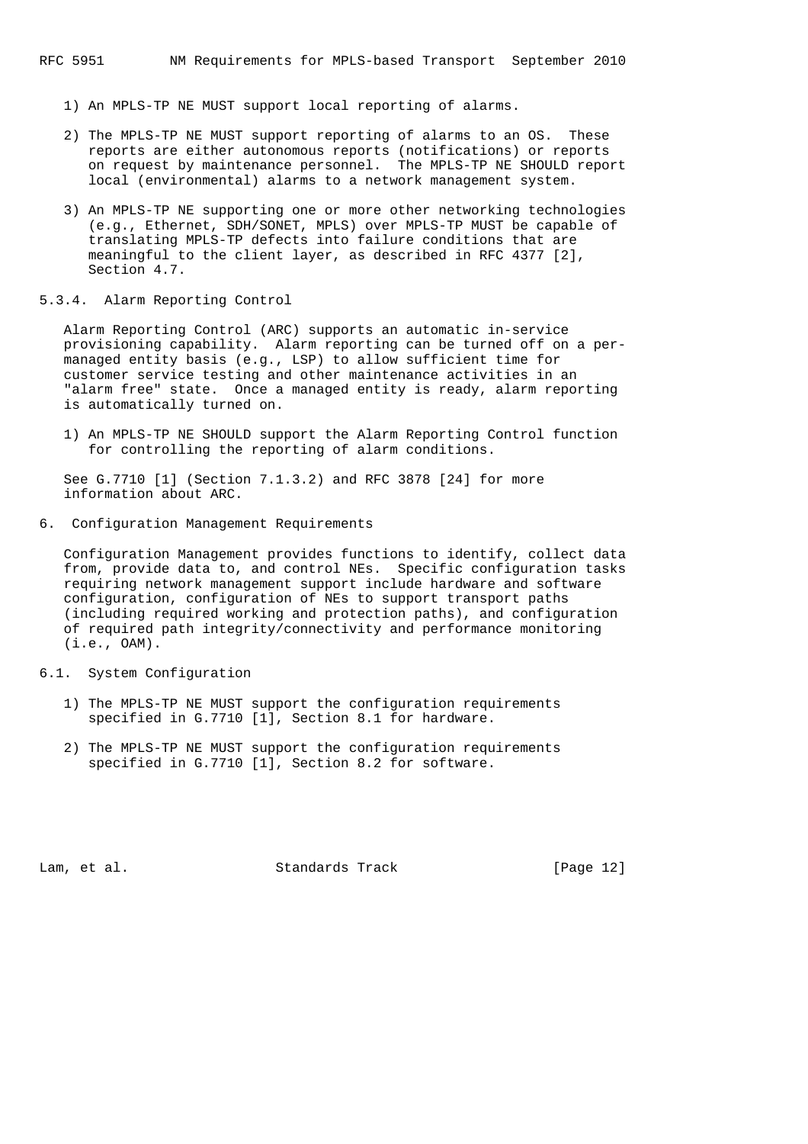- 1) An MPLS-TP NE MUST support local reporting of alarms.
- 2) The MPLS-TP NE MUST support reporting of alarms to an OS. These reports are either autonomous reports (notifications) or reports on request by maintenance personnel. The MPLS-TP NE SHOULD report local (environmental) alarms to a network management system.
- 3) An MPLS-TP NE supporting one or more other networking technologies (e.g., Ethernet, SDH/SONET, MPLS) over MPLS-TP MUST be capable of translating MPLS-TP defects into failure conditions that are meaningful to the client layer, as described in RFC 4377 [2], Section 4.7.
- 5.3.4. Alarm Reporting Control

 Alarm Reporting Control (ARC) supports an automatic in-service provisioning capability. Alarm reporting can be turned off on a per managed entity basis (e.g., LSP) to allow sufficient time for customer service testing and other maintenance activities in an "alarm free" state. Once a managed entity is ready, alarm reporting is automatically turned on.

 1) An MPLS-TP NE SHOULD support the Alarm Reporting Control function for controlling the reporting of alarm conditions.

 See G.7710 [1] (Section 7.1.3.2) and RFC 3878 [24] for more information about ARC.

6. Configuration Management Requirements

 Configuration Management provides functions to identify, collect data from, provide data to, and control NEs. Specific configuration tasks requiring network management support include hardware and software configuration, configuration of NEs to support transport paths (including required working and protection paths), and configuration of required path integrity/connectivity and performance monitoring (i.e., OAM).

- 6.1. System Configuration
	- 1) The MPLS-TP NE MUST support the configuration requirements specified in G.7710 [1], Section 8.1 for hardware.
	- 2) The MPLS-TP NE MUST support the configuration requirements specified in G.7710 [1], Section 8.2 for software.

Lam, et al. Standards Track [Page 12]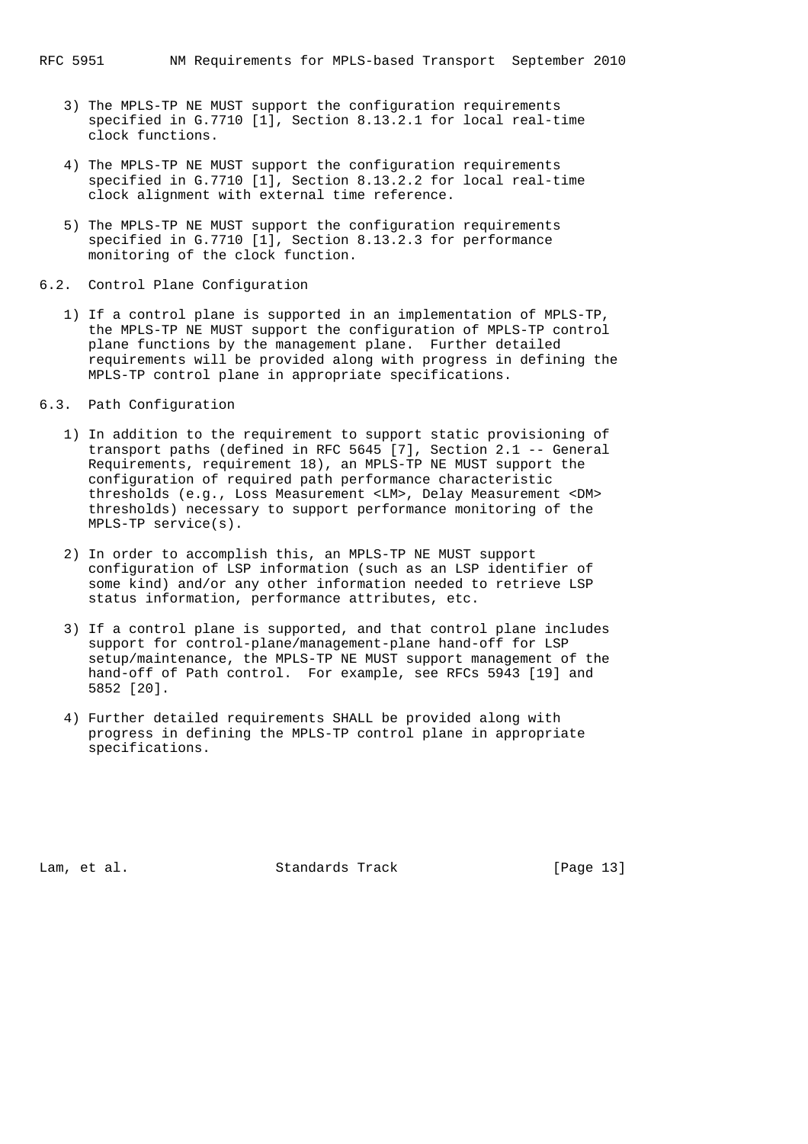- 3) The MPLS-TP NE MUST support the configuration requirements specified in G.7710 [1], Section 8.13.2.1 for local real-time clock functions.
- 4) The MPLS-TP NE MUST support the configuration requirements specified in G.7710 [1], Section 8.13.2.2 for local real-time clock alignment with external time reference.
- 5) The MPLS-TP NE MUST support the configuration requirements specified in G.7710 [1], Section 8.13.2.3 for performance monitoring of the clock function.
- 6.2. Control Plane Configuration
	- 1) If a control plane is supported in an implementation of MPLS-TP, the MPLS-TP NE MUST support the configuration of MPLS-TP control plane functions by the management plane. Further detailed requirements will be provided along with progress in defining the MPLS-TP control plane in appropriate specifications.
- 6.3. Path Configuration
	- 1) In addition to the requirement to support static provisioning of transport paths (defined in RFC 5645 [7], Section 2.1 -- General Requirements, requirement 18), an MPLS-TP NE MUST support the configuration of required path performance characteristic thresholds (e.g., Loss Measurement <LM>, Delay Measurement <DM> thresholds) necessary to support performance monitoring of the MPLS-TP service(s).
	- 2) In order to accomplish this, an MPLS-TP NE MUST support configuration of LSP information (such as an LSP identifier of some kind) and/or any other information needed to retrieve LSP status information, performance attributes, etc.
	- 3) If a control plane is supported, and that control plane includes support for control-plane/management-plane hand-off for LSP setup/maintenance, the MPLS-TP NE MUST support management of the hand-off of Path control. For example, see RFCs 5943 [19] and 5852 [20].
	- 4) Further detailed requirements SHALL be provided along with progress in defining the MPLS-TP control plane in appropriate specifications.

Lam, et al. Standards Track [Page 13]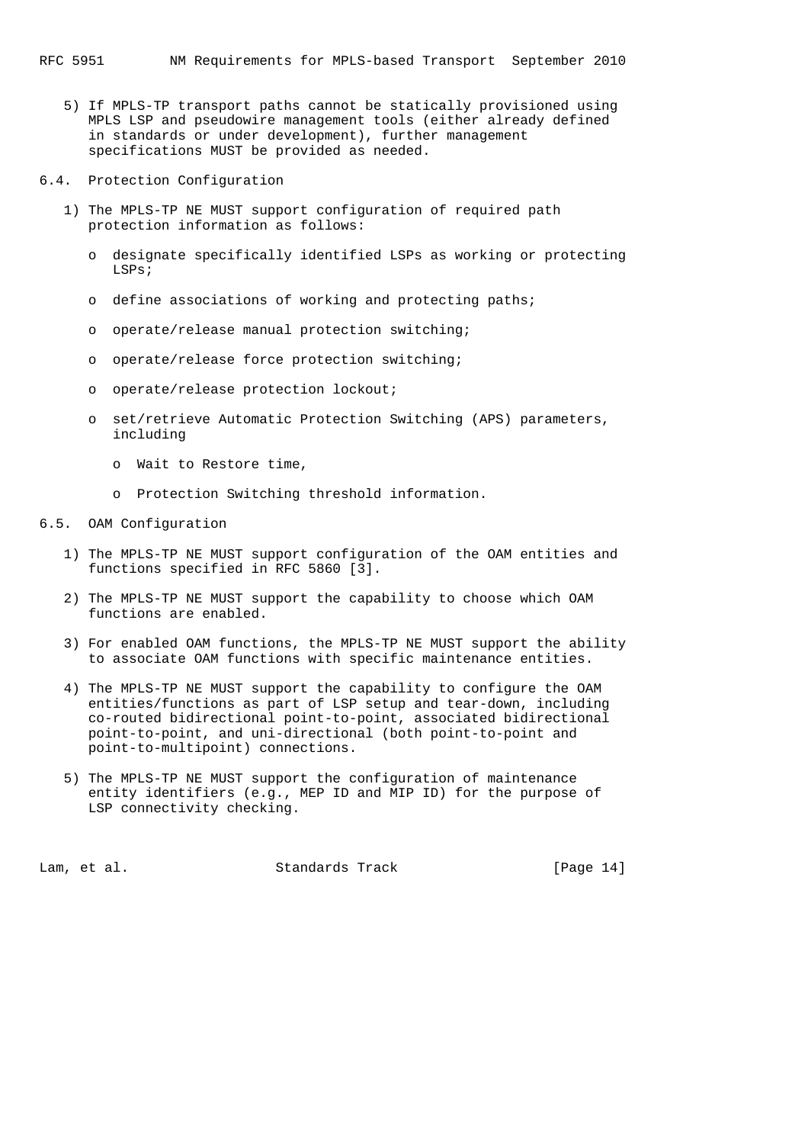- 5) If MPLS-TP transport paths cannot be statically provisioned using MPLS LSP and pseudowire management tools (either already defined in standards or under development), further management specifications MUST be provided as needed.
- 6.4. Protection Configuration
	- 1) The MPLS-TP NE MUST support configuration of required path protection information as follows:
		- o designate specifically identified LSPs as working or protecting  $I.SP<sub>S</sub>$ ;
		- o define associations of working and protecting paths;
		- o operate/release manual protection switching;
		- o operate/release force protection switching;
		- o operate/release protection lockout;
		- o set/retrieve Automatic Protection Switching (APS) parameters, including
			- o Wait to Restore time,
			- o Protection Switching threshold information.

#### 6.5. OAM Configuration

- 1) The MPLS-TP NE MUST support configuration of the OAM entities and functions specified in RFC 5860 [3].
- 2) The MPLS-TP NE MUST support the capability to choose which OAM functions are enabled.
- 3) For enabled OAM functions, the MPLS-TP NE MUST support the ability to associate OAM functions with specific maintenance entities.
- 4) The MPLS-TP NE MUST support the capability to configure the OAM entities/functions as part of LSP setup and tear-down, including co-routed bidirectional point-to-point, associated bidirectional point-to-point, and uni-directional (both point-to-point and point-to-multipoint) connections.
- 5) The MPLS-TP NE MUST support the configuration of maintenance entity identifiers (e.g., MEP ID and MIP ID) for the purpose of LSP connectivity checking.

Lam, et al. Standards Track [Page 14]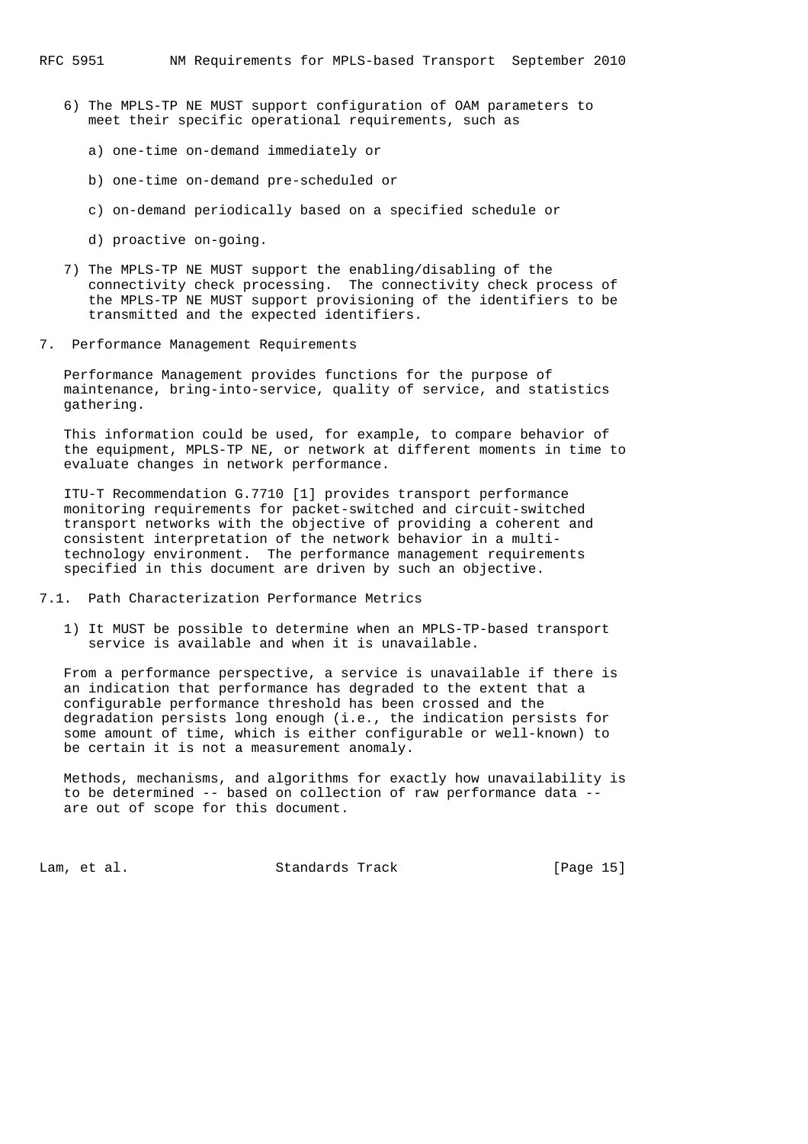- 6) The MPLS-TP NE MUST support configuration of OAM parameters to meet their specific operational requirements, such as
	- a) one-time on-demand immediately or
	- b) one-time on-demand pre-scheduled or
	- c) on-demand periodically based on a specified schedule or
	- d) proactive on-going.
- 7) The MPLS-TP NE MUST support the enabling/disabling of the connectivity check processing. The connectivity check process of the MPLS-TP NE MUST support provisioning of the identifiers to be transmitted and the expected identifiers.
- 7. Performance Management Requirements

 Performance Management provides functions for the purpose of maintenance, bring-into-service, quality of service, and statistics gathering.

 This information could be used, for example, to compare behavior of the equipment, MPLS-TP NE, or network at different moments in time to evaluate changes in network performance.

 ITU-T Recommendation G.7710 [1] provides transport performance monitoring requirements for packet-switched and circuit-switched transport networks with the objective of providing a coherent and consistent interpretation of the network behavior in a multi technology environment. The performance management requirements specified in this document are driven by such an objective.

- 7.1. Path Characterization Performance Metrics
	- 1) It MUST be possible to determine when an MPLS-TP-based transport service is available and when it is unavailable.

 From a performance perspective, a service is unavailable if there is an indication that performance has degraded to the extent that a configurable performance threshold has been crossed and the degradation persists long enough (i.e., the indication persists for some amount of time, which is either configurable or well-known) to be certain it is not a measurement anomaly.

 Methods, mechanisms, and algorithms for exactly how unavailability is to be determined -- based on collection of raw performance data - are out of scope for this document.

Lam, et al. Standards Track [Page 15]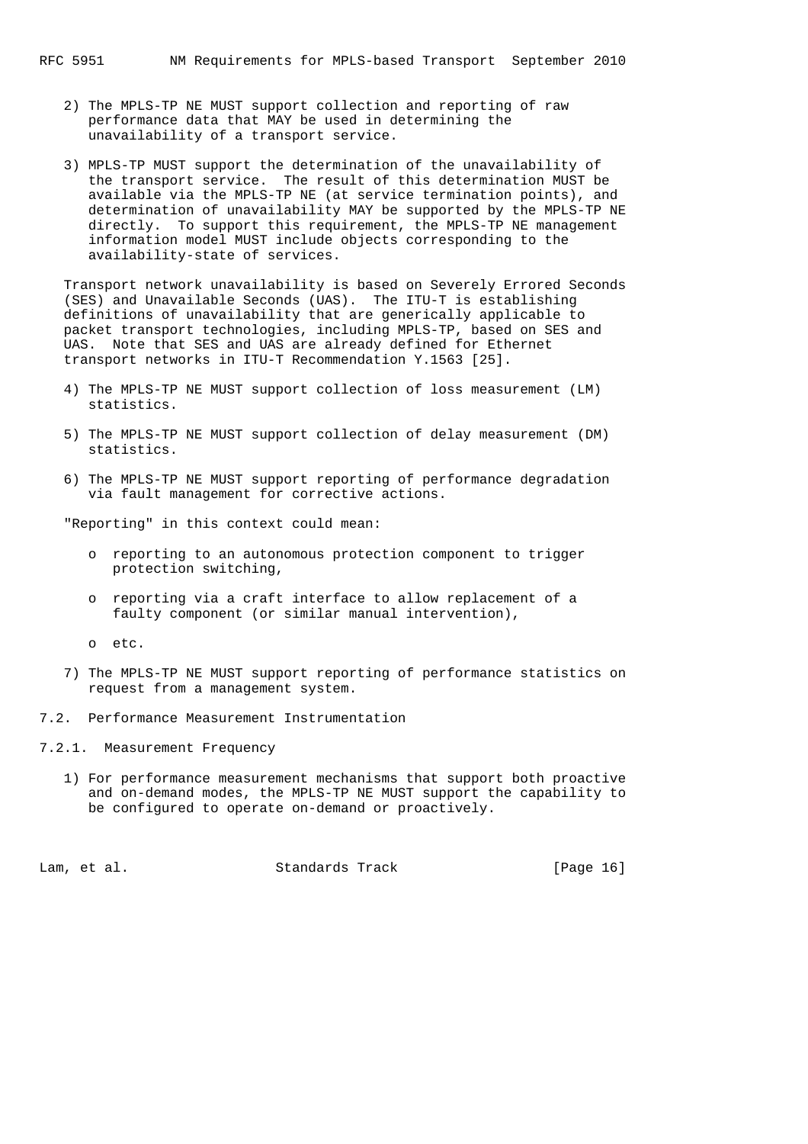- 2) The MPLS-TP NE MUST support collection and reporting of raw performance data that MAY be used in determining the unavailability of a transport service.
- 3) MPLS-TP MUST support the determination of the unavailability of the transport service. The result of this determination MUST be available via the MPLS-TP NE (at service termination points), and determination of unavailability MAY be supported by the MPLS-TP NE directly. To support this requirement, the MPLS-TP NE management information model MUST include objects corresponding to the availability-state of services.

 Transport network unavailability is based on Severely Errored Seconds (SES) and Unavailable Seconds (UAS). The ITU-T is establishing definitions of unavailability that are generically applicable to packet transport technologies, including MPLS-TP, based on SES and UAS. Note that SES and UAS are already defined for Ethernet transport networks in ITU-T Recommendation Y.1563 [25].

- 4) The MPLS-TP NE MUST support collection of loss measurement (LM) statistics.
- 5) The MPLS-TP NE MUST support collection of delay measurement (DM) statistics.
- 6) The MPLS-TP NE MUST support reporting of performance degradation via fault management for corrective actions.

"Reporting" in this context could mean:

- o reporting to an autonomous protection component to trigger protection switching,
- o reporting via a craft interface to allow replacement of a faulty component (or similar manual intervention),
- o etc.
- 7) The MPLS-TP NE MUST support reporting of performance statistics on request from a management system.
- 7.2. Performance Measurement Instrumentation
- 7.2.1. Measurement Frequency
	- 1) For performance measurement mechanisms that support both proactive and on-demand modes, the MPLS-TP NE MUST support the capability to be configured to operate on-demand or proactively.

Lam, et al. Standards Track [Page 16]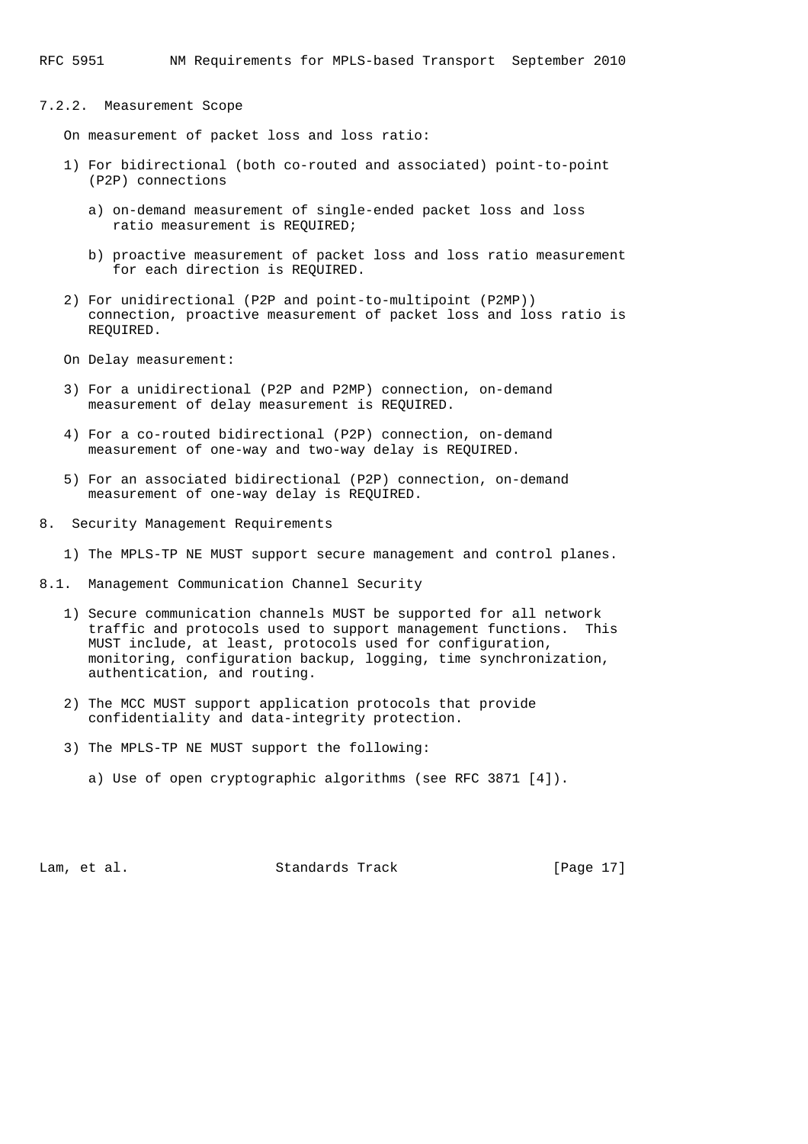## 7.2.2. Measurement Scope

On measurement of packet loss and loss ratio:

- 1) For bidirectional (both co-routed and associated) point-to-point (P2P) connections
	- a) on-demand measurement of single-ended packet loss and loss ratio measurement is REQUIRED;
	- b) proactive measurement of packet loss and loss ratio measurement for each direction is REQUIRED.
- 2) For unidirectional (P2P and point-to-multipoint (P2MP)) connection, proactive measurement of packet loss and loss ratio is REQUIRED.
- On Delay measurement:
- 3) For a unidirectional (P2P and P2MP) connection, on-demand measurement of delay measurement is REQUIRED.
- 4) For a co-routed bidirectional (P2P) connection, on-demand measurement of one-way and two-way delay is REQUIRED.
- 5) For an associated bidirectional (P2P) connection, on-demand measurement of one-way delay is REQUIRED.
- 8. Security Management Requirements
	- 1) The MPLS-TP NE MUST support secure management and control planes.
- 8.1. Management Communication Channel Security
	- 1) Secure communication channels MUST be supported for all network traffic and protocols used to support management functions. This MUST include, at least, protocols used for configuration, monitoring, configuration backup, logging, time synchronization, authentication, and routing.
	- 2) The MCC MUST support application protocols that provide confidentiality and data-integrity protection.
	- 3) The MPLS-TP NE MUST support the following:
		- a) Use of open cryptographic algorithms (see RFC 3871 [4]).

Lam, et al. Standards Track [Page 17]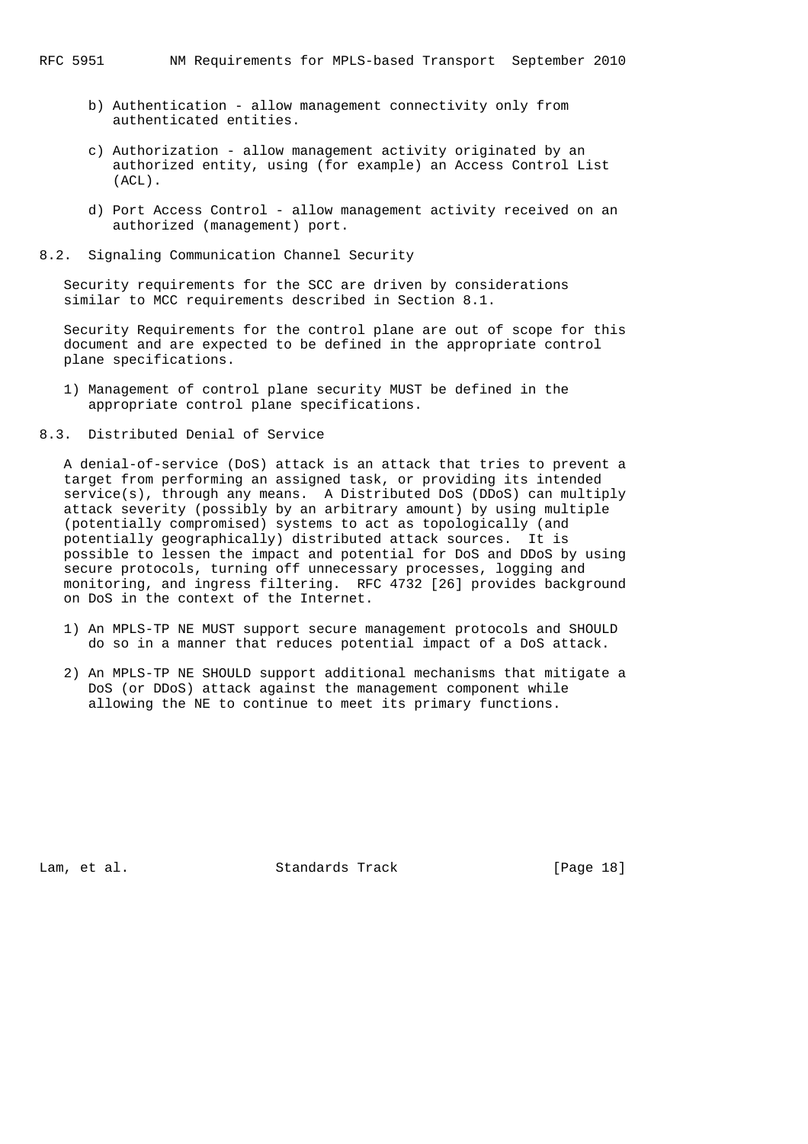- b) Authentication allow management connectivity only from authenticated entities.
- c) Authorization allow management activity originated by an authorized entity, using (for example) an Access Control List (ACL).
- d) Port Access Control allow management activity received on an authorized (management) port.
- 8.2. Signaling Communication Channel Security

 Security requirements for the SCC are driven by considerations similar to MCC requirements described in Section 8.1.

 Security Requirements for the control plane are out of scope for this document and are expected to be defined in the appropriate control plane specifications.

- 1) Management of control plane security MUST be defined in the appropriate control plane specifications.
- 8.3. Distributed Denial of Service

 A denial-of-service (DoS) attack is an attack that tries to prevent a target from performing an assigned task, or providing its intended service(s), through any means. A Distributed DoS (DDoS) can multiply attack severity (possibly by an arbitrary amount) by using multiple (potentially compromised) systems to act as topologically (and potentially geographically) distributed attack sources. It is possible to lessen the impact and potential for DoS and DDoS by using secure protocols, turning off unnecessary processes, logging and monitoring, and ingress filtering. RFC 4732 [26] provides background on DoS in the context of the Internet.

- 1) An MPLS-TP NE MUST support secure management protocols and SHOULD do so in a manner that reduces potential impact of a DoS attack.
- 2) An MPLS-TP NE SHOULD support additional mechanisms that mitigate a DoS (or DDoS) attack against the management component while allowing the NE to continue to meet its primary functions.

Lam, et al. Standards Track [Page 18]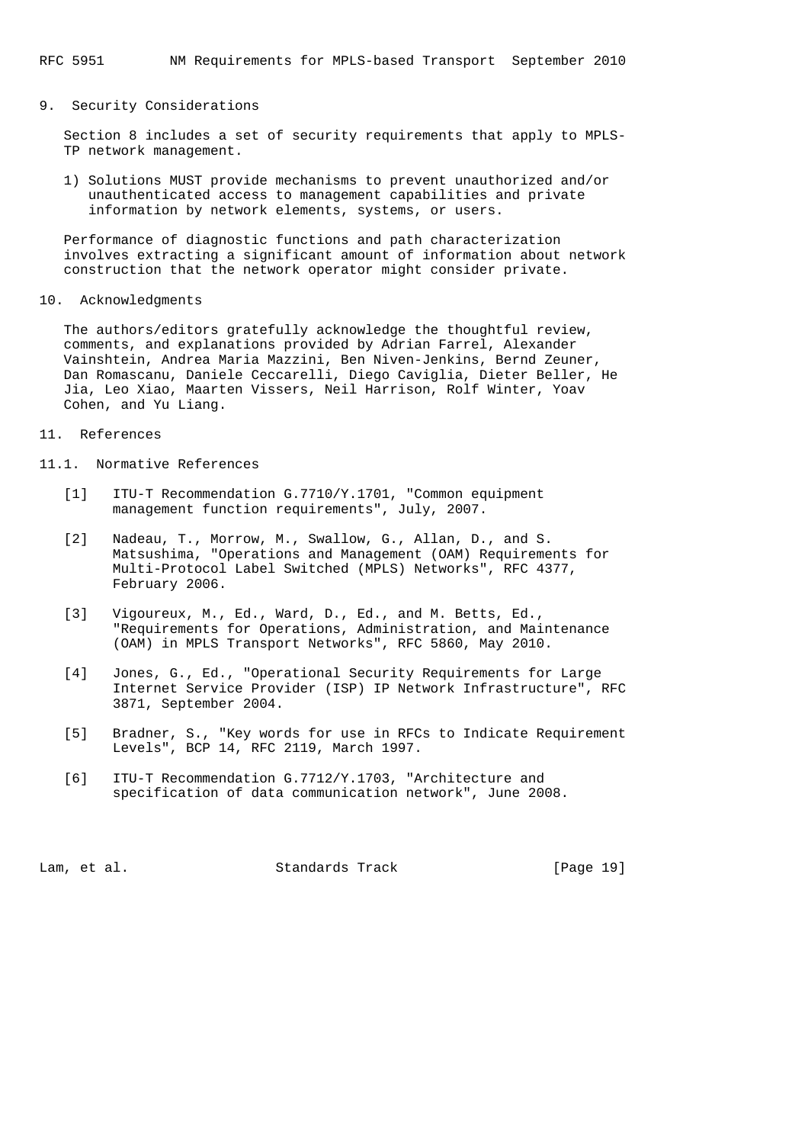#### 9. Security Considerations

 Section 8 includes a set of security requirements that apply to MPLS- TP network management.

 1) Solutions MUST provide mechanisms to prevent unauthorized and/or unauthenticated access to management capabilities and private information by network elements, systems, or users.

 Performance of diagnostic functions and path characterization involves extracting a significant amount of information about network construction that the network operator might consider private.

10. Acknowledgments

 The authors/editors gratefully acknowledge the thoughtful review, comments, and explanations provided by Adrian Farrel, Alexander Vainshtein, Andrea Maria Mazzini, Ben Niven-Jenkins, Bernd Zeuner, Dan Romascanu, Daniele Ceccarelli, Diego Caviglia, Dieter Beller, He Jia, Leo Xiao, Maarten Vissers, Neil Harrison, Rolf Winter, Yoav Cohen, and Yu Liang.

### 11. References

- 11.1. Normative References
	- [1] ITU-T Recommendation G.7710/Y.1701, "Common equipment management function requirements", July, 2007.
	- [2] Nadeau, T., Morrow, M., Swallow, G., Allan, D., and S. Matsushima, "Operations and Management (OAM) Requirements for Multi-Protocol Label Switched (MPLS) Networks", RFC 4377, February 2006.
	- [3] Vigoureux, M., Ed., Ward, D., Ed., and M. Betts, Ed., "Requirements for Operations, Administration, and Maintenance (OAM) in MPLS Transport Networks", RFC 5860, May 2010.
	- [4] Jones, G., Ed., "Operational Security Requirements for Large Internet Service Provider (ISP) IP Network Infrastructure", RFC 3871, September 2004.
	- [5] Bradner, S., "Key words for use in RFCs to Indicate Requirement Levels", BCP 14, RFC 2119, March 1997.
	- [6] ITU-T Recommendation G.7712/Y.1703, "Architecture and specification of data communication network", June 2008.

Lam, et al. Standards Track [Page 19]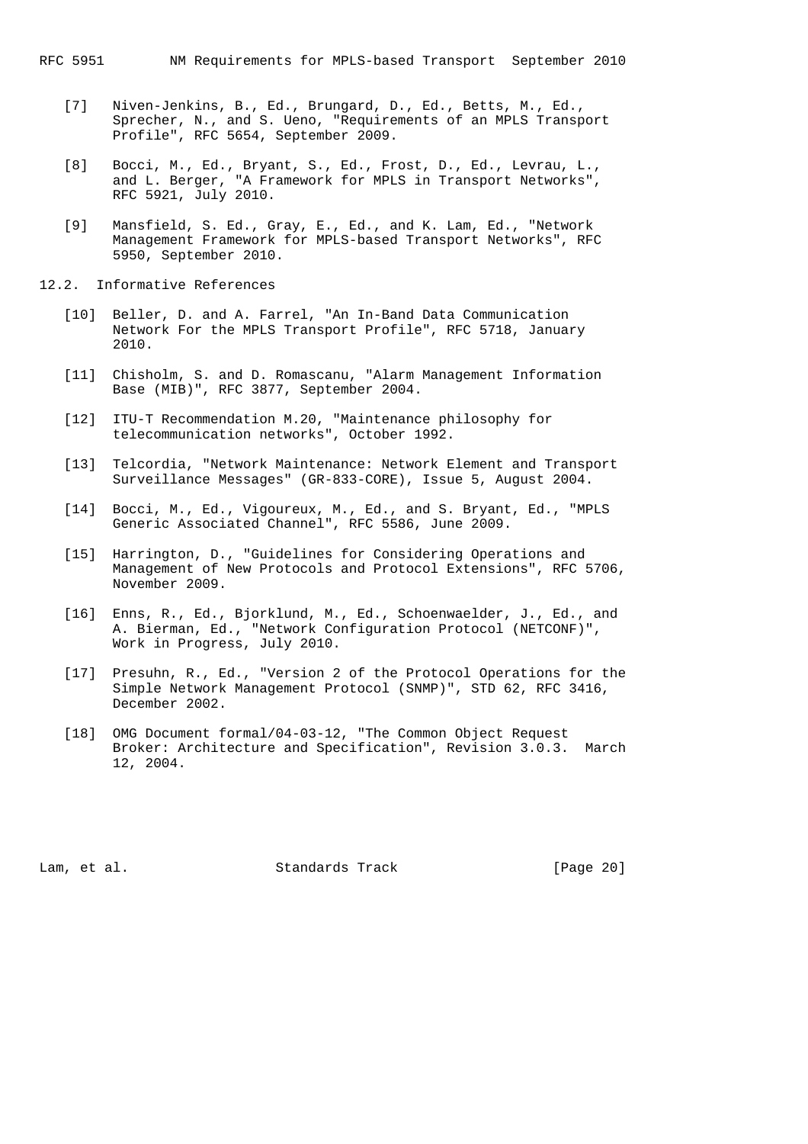- [7] Niven-Jenkins, B., Ed., Brungard, D., Ed., Betts, M., Ed., Sprecher, N., and S. Ueno, "Requirements of an MPLS Transport Profile", RFC 5654, September 2009.
- [8] Bocci, M., Ed., Bryant, S., Ed., Frost, D., Ed., Levrau, L., and L. Berger, "A Framework for MPLS in Transport Networks", RFC 5921, July 2010.
- [9] Mansfield, S. Ed., Gray, E., Ed., and K. Lam, Ed., "Network Management Framework for MPLS-based Transport Networks", RFC 5950, September 2010.
- 12.2. Informative References
	- [10] Beller, D. and A. Farrel, "An In-Band Data Communication Network For the MPLS Transport Profile", RFC 5718, January 2010.
	- [11] Chisholm, S. and D. Romascanu, "Alarm Management Information Base (MIB)", RFC 3877, September 2004.
	- [12] ITU-T Recommendation M.20, "Maintenance philosophy for telecommunication networks", October 1992.
	- [13] Telcordia, "Network Maintenance: Network Element and Transport Surveillance Messages" (GR-833-CORE), Issue 5, August 2004.
	- [14] Bocci, M., Ed., Vigoureux, M., Ed., and S. Bryant, Ed., "MPLS Generic Associated Channel", RFC 5586, June 2009.
	- [15] Harrington, D., "Guidelines for Considering Operations and Management of New Protocols and Protocol Extensions", RFC 5706, November 2009.
	- [16] Enns, R., Ed., Bjorklund, M., Ed., Schoenwaelder, J., Ed., and A. Bierman, Ed., "Network Configuration Protocol (NETCONF)", Work in Progress, July 2010.
	- [17] Presuhn, R., Ed., "Version 2 of the Protocol Operations for the Simple Network Management Protocol (SNMP)", STD 62, RFC 3416, December 2002.
	- [18] OMG Document formal/04-03-12, "The Common Object Request Broker: Architecture and Specification", Revision 3.0.3. March 12, 2004.

Lam, et al. Standards Track [Page 20]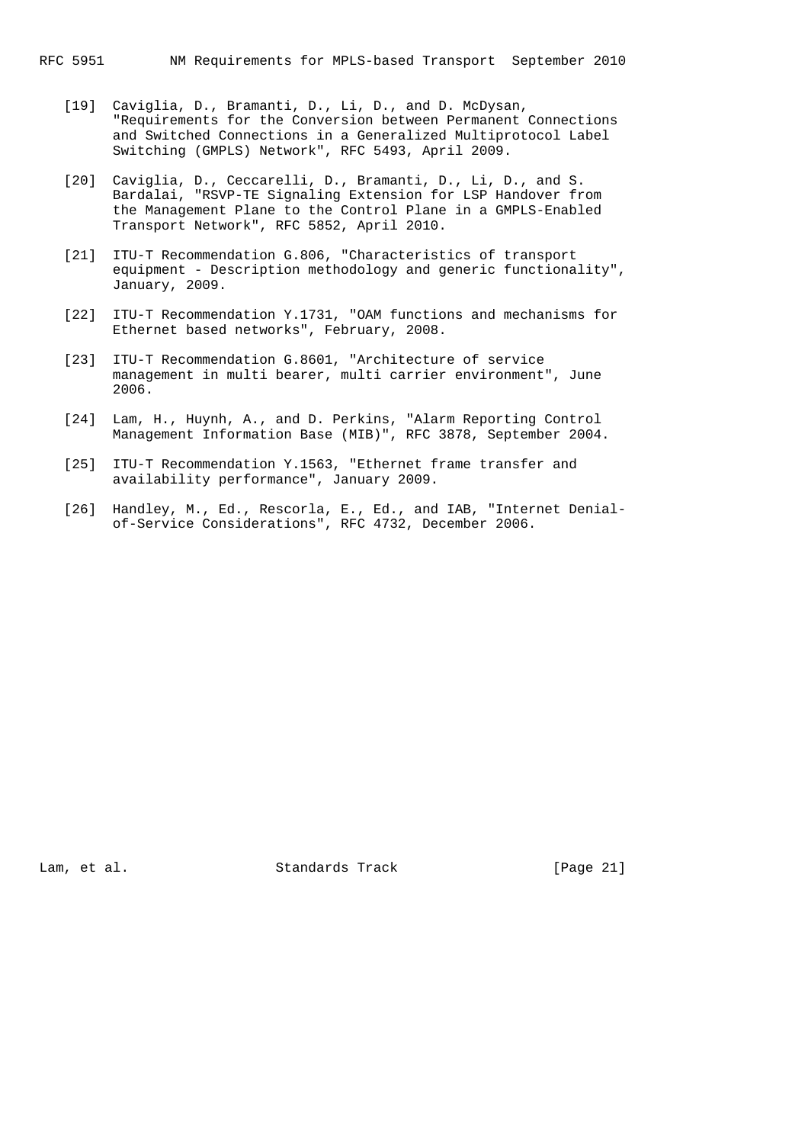- [19] Caviglia, D., Bramanti, D., Li, D., and D. McDysan, "Requirements for the Conversion between Permanent Connections and Switched Connections in a Generalized Multiprotocol Label Switching (GMPLS) Network", RFC 5493, April 2009.
- [20] Caviglia, D., Ceccarelli, D., Bramanti, D., Li, D., and S. Bardalai, "RSVP-TE Signaling Extension for LSP Handover from the Management Plane to the Control Plane in a GMPLS-Enabled Transport Network", RFC 5852, April 2010.
- [21] ITU-T Recommendation G.806, "Characteristics of transport equipment - Description methodology and generic functionality", January, 2009.
- [22] ITU-T Recommendation Y.1731, "OAM functions and mechanisms for Ethernet based networks", February, 2008.
- [23] ITU-T Recommendation G.8601, "Architecture of service management in multi bearer, multi carrier environment", June 2006.
- [24] Lam, H., Huynh, A., and D. Perkins, "Alarm Reporting Control Management Information Base (MIB)", RFC 3878, September 2004.
- [25] ITU-T Recommendation Y.1563, "Ethernet frame transfer and availability performance", January 2009.
- [26] Handley, M., Ed., Rescorla, E., Ed., and IAB, "Internet Denial of-Service Considerations", RFC 4732, December 2006.

Lam, et al. Standards Track [Page 21]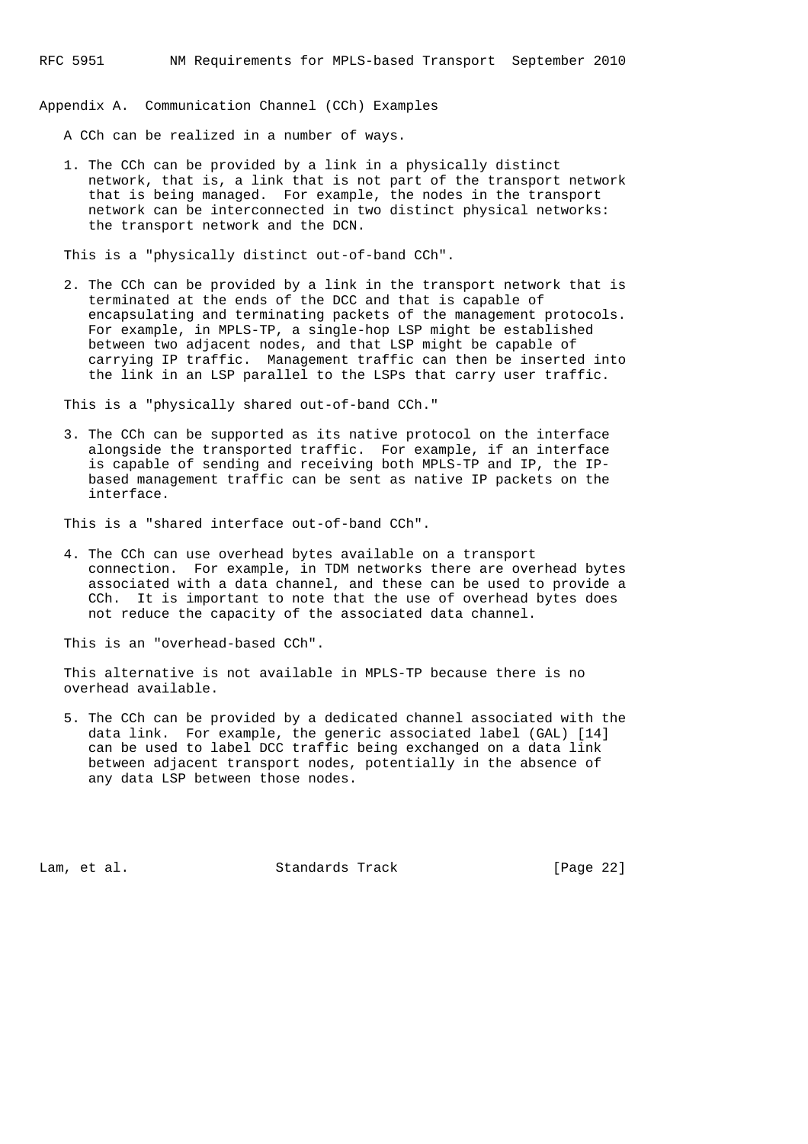Appendix A. Communication Channel (CCh) Examples

A CCh can be realized in a number of ways.

 1. The CCh can be provided by a link in a physically distinct network, that is, a link that is not part of the transport network that is being managed. For example, the nodes in the transport network can be interconnected in two distinct physical networks: the transport network and the DCN.

This is a "physically distinct out-of-band CCh".

 2. The CCh can be provided by a link in the transport network that is terminated at the ends of the DCC and that is capable of encapsulating and terminating packets of the management protocols. For example, in MPLS-TP, a single-hop LSP might be established between two adjacent nodes, and that LSP might be capable of carrying IP traffic. Management traffic can then be inserted into the link in an LSP parallel to the LSPs that carry user traffic.

This is a "physically shared out-of-band CCh."

 3. The CCh can be supported as its native protocol on the interface alongside the transported traffic. For example, if an interface is capable of sending and receiving both MPLS-TP and IP, the IP based management traffic can be sent as native IP packets on the interface.

This is a "shared interface out-of-band CCh".

 4. The CCh can use overhead bytes available on a transport connection. For example, in TDM networks there are overhead bytes associated with a data channel, and these can be used to provide a CCh. It is important to note that the use of overhead bytes does not reduce the capacity of the associated data channel.

This is an "overhead-based CCh".

 This alternative is not available in MPLS-TP because there is no overhead available.

 5. The CCh can be provided by a dedicated channel associated with the data link. For example, the generic associated label (GAL) [14] can be used to label DCC traffic being exchanged on a data link between adjacent transport nodes, potentially in the absence of any data LSP between those nodes.

Lam, et al. Standards Track [Page 22]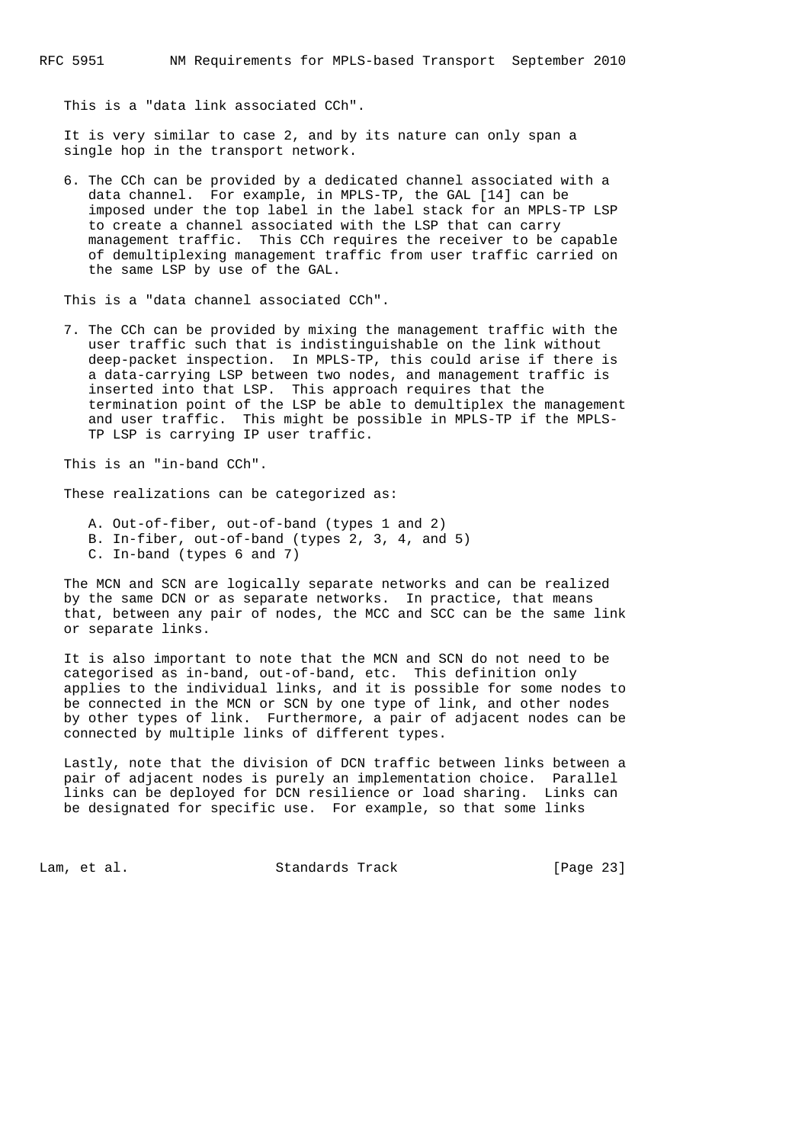This is a "data link associated CCh".

 It is very similar to case 2, and by its nature can only span a single hop in the transport network.

 6. The CCh can be provided by a dedicated channel associated with a data channel. For example, in MPLS-TP, the GAL [14] can be imposed under the top label in the label stack for an MPLS-TP LSP to create a channel associated with the LSP that can carry management traffic. This CCh requires the receiver to be capable of demultiplexing management traffic from user traffic carried on the same LSP by use of the GAL.

This is a "data channel associated CCh".

 7. The CCh can be provided by mixing the management traffic with the user traffic such that is indistinguishable on the link without deep-packet inspection. In MPLS-TP, this could arise if there is a data-carrying LSP between two nodes, and management traffic is inserted into that LSP. This approach requires that the termination point of the LSP be able to demultiplex the management and user traffic. This might be possible in MPLS-TP if the MPLS- TP LSP is carrying IP user traffic.

This is an "in-band CCh".

These realizations can be categorized as:

- A. Out-of-fiber, out-of-band (types 1 and 2)
- B. In-fiber, out-of-band (types 2, 3, 4, and 5)
- C. In-band (types 6 and 7)

 The MCN and SCN are logically separate networks and can be realized by the same DCN or as separate networks. In practice, that means that, between any pair of nodes, the MCC and SCC can be the same link or separate links.

 It is also important to note that the MCN and SCN do not need to be categorised as in-band, out-of-band, etc. This definition only applies to the individual links, and it is possible for some nodes to be connected in the MCN or SCN by one type of link, and other nodes by other types of link. Furthermore, a pair of adjacent nodes can be connected by multiple links of different types.

 Lastly, note that the division of DCN traffic between links between a pair of adjacent nodes is purely an implementation choice. Parallel links can be deployed for DCN resilience or load sharing. Links can be designated for specific use. For example, so that some links

Lam, et al. Standards Track [Page 23]